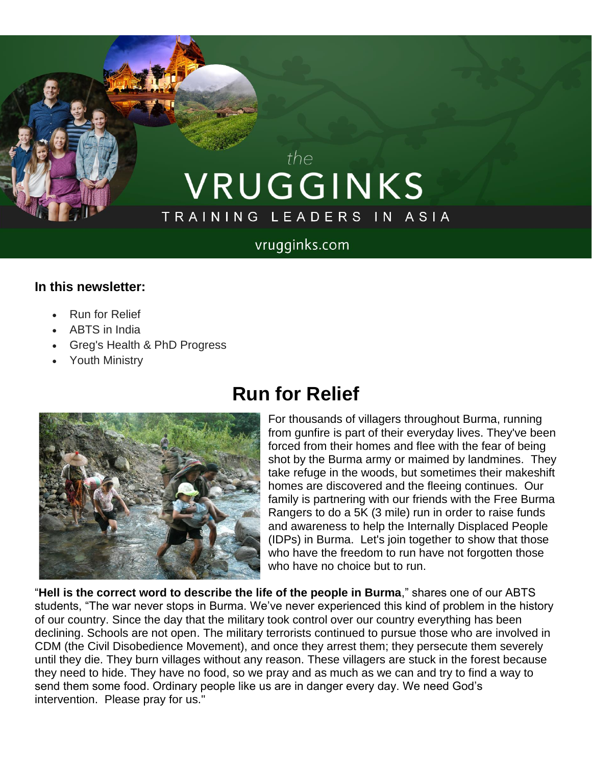# the VRUGGINKS TRAINING LEADERS IN ASIA

### vrugginks.com

#### **In this newsletter:**

- Run for Relief
- ABTS in India
- Greg's Health & PhD Progress
- Youth Ministry



### **Run for Relief**

For thousands of villagers throughout Burma, running from gunfire is part of their everyday lives. They've been forced from their homes and flee with the fear of being shot by the Burma army or maimed by landmines. They take refuge in the woods, but sometimes their makeshift homes are discovered and the fleeing continues. Our family is partnering with our friends with the Free Burma Rangers to do a 5K (3 mile) run in order to raise funds and awareness to help the Internally Displaced People (IDPs) in Burma. Let's join together to show that those who have the freedom to run have not forgotten those who have no choice but to run.

"**Hell is the correct word to describe the life of the people in Burma**," shares one of our ABTS students, "The war never stops in Burma. We've never experienced this kind of problem in the history of our country. Since the day that the military took control over our country everything has been declining. Schools are not open. The military terrorists continued to pursue those who are involved in CDM (the Civil Disobedience Movement), and once they arrest them; they persecute them severely until they die. They burn villages without any reason. These villagers are stuck in the forest because they need to hide. They have no food, so we pray and as much as we can and try to find a way to send them some food. Ordinary people like us are in danger every day. We need God's intervention. Please pray for us."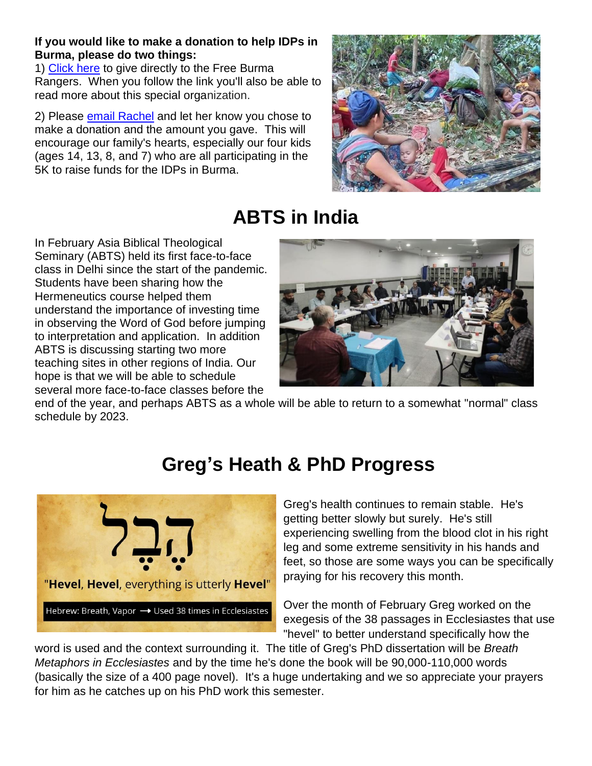#### **If you would like to make a donation to help IDPs in Burma, please do two things:**

1) [Click](https://www.freeburmarangers.org/donations2/?fbclid=IwAR3fKhU6hjBQc8TwXPNd7RLWVChGgA9VKojK4BgtllZN5qZzP_acigSn1ZU) here to give directly to the Free Burma Rangers. When you follow the link you'll also be able to read more about this special organization.

2) Please [email Rachel](mailto:rachelvruggink@gmail.com?subject=FBR%20Donation) and let her know you chose to make a donation and the amount you gave. This will encourage our family's hearts, especially our four kids (ages 14, 13, 8, and 7) who are all participating in the 5K to raise funds for the IDPs in Burma.



# **ABTS in India**

In February Asia Biblical Theological Seminary (ABTS) held its first face-to-face class in Delhi since the start of the pandemic. Students have been sharing how the Hermeneutics course helped them understand the importance of investing time in observing the Word of God before jumping to interpretation and application. In addition ABTS is discussing starting two more teaching sites in other regions of India. Our hope is that we will be able to schedule several more face-to-face classes before the



end of the year, and perhaps ABTS as a whole will be able to return to a somewhat "normal" class schedule by 2023.

## **Greg's Heath & PhD Progress**



Greg's health continues to remain stable. He's getting better slowly but surely. He's still experiencing swelling from the blood clot in his right leg and some extreme sensitivity in his hands and feet, so those are some ways you can be specifically praying for his recovery this month.

Over the month of February Greg worked on the exegesis of the 38 passages in Ecclesiastes that use "hevel" to better understand specifically how the

word is used and the context surrounding it. The title of Greg's PhD dissertation will be *Breath Metaphors in Ecclesiastes* and by the time he's done the book will be 90,000-110,000 words (basically the size of a 400 page novel). It's a huge undertaking and we so appreciate your prayers for him as he catches up on his PhD work this semester.